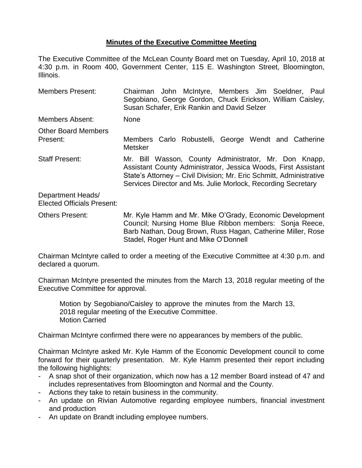## **Minutes of the Executive Committee Meeting**

The Executive Committee of the McLean County Board met on Tuesday, April 10, 2018 at 4:30 p.m. in Room 400, Government Center, 115 E. Washington Street, Bloomington, Illinois.

| <b>Members Present:</b>                                | Chairman John McIntyre, Members Jim Soeldner, Paul<br>Segobiano, George Gordon, Chuck Erickson, William Caisley,<br>Susan Schafer, Erik Rankin and David Selzer                                                                                                |  |
|--------------------------------------------------------|----------------------------------------------------------------------------------------------------------------------------------------------------------------------------------------------------------------------------------------------------------------|--|
| <b>Members Absent:</b>                                 | <b>None</b>                                                                                                                                                                                                                                                    |  |
| <b>Other Board Members</b><br>Present:                 | Members Carlo Robustelli, George Wendt and Catherine<br>Metsker                                                                                                                                                                                                |  |
| <b>Staff Present:</b>                                  | Mr. Bill Wasson, County Administrator, Mr. Don Knapp,<br>Assistant County Administrator, Jessica Woods, First Assistant<br>State's Attorney - Civil Division; Mr. Eric Schmitt, Administrative<br>Services Director and Ms. Julie Morlock, Recording Secretary |  |
| Department Heads/<br><b>Elected Officials Present:</b> |                                                                                                                                                                                                                                                                |  |
| <b>Others Present:</b>                                 | Mr. Kyle Hamm and Mr. Mike O'Grady, Economic Development<br>Council; Nursing Home Blue Ribbon members: Sonja Reece,<br>Barb Nathan, Doug Brown, Russ Hagan, Catherine Miller, Rose<br>Stadel, Roger Hunt and Mike O'Donnell                                    |  |

Chairman McIntyre called to order a meeting of the Executive Committee at 4:30 p.m. and declared a quorum.

Chairman McIntyre presented the minutes from the March 13, 2018 regular meeting of the Executive Committee for approval.

Motion by Segobiano/Caisley to approve the minutes from the March 13, 2018 regular meeting of the Executive Committee. Motion Carried

Chairman McIntyre confirmed there were no appearances by members of the public.

Chairman McIntyre asked Mr. Kyle Hamm of the Economic Development council to come forward for their quarterly presentation. Mr. Kyle Hamm presented their report including the following highlights:

- A snap shot of their organization, which now has a 12 member Board instead of 47 and includes representatives from Bloomington and Normal and the County.
- Actions they take to retain business in the community.
- An update on Rivian Automotive regarding employee numbers, financial investment and production
- An update on Brandt including employee numbers.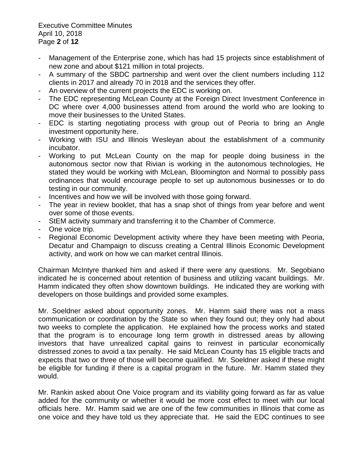Executive Committee Minutes April 10, 2018 Page **2** of **12**

- Management of the Enterprise zone, which has had 15 projects since establishment of new zone and about \$121 million in total projects.
- A summary of the SBDC partnership and went over the client numbers including 112 clients in 2017 and already 70 in 2018 and the services they offer.
- An overview of the current projects the EDC is working on.
- The EDC representing McLean County at the Foreign Direct Investment Conference in DC where over 4,000 businesses attend from around the world who are looking to move their businesses to the United States.
- EDC is starting negotiating process with group out of Peoria to bring an Angle investment opportunity here.
- Working with ISU and Illinois Wesleyan about the establishment of a community incubator.
- Working to put McLean County on the map for people doing business in the autonomous sector now that Rivian is working in the autonomous technologies, He stated they would be working with McLean, Bloomington and Normal to possibly pass ordinances that would encourage people to set up autonomous businesses or to do testing in our community.
- Incentives and how we will be involved with those going forward.
- The year in review booklet, that has a snap shot of things from year before and went over some of those events.
- StEM activity summary and transferring it to the Chamber of Commerce.
- One voice trip.
- Regional Economic Development activity where they have been meeting with Peoria, Decatur and Champaign to discuss creating a Central Illinois Economic Development activity, and work on how we can market central Illinois.

Chairman McIntyre thanked him and asked if there were any questions. Mr. Segobiano indicated he is concerned about retention of business and utilizing vacant buildings. Mr. Hamm indicated they often show downtown buildings. He indicated they are working with developers on those buildings and provided some examples.

Mr. Soeldner asked about opportunity zones. Mr. Hamm said there was not a mass communication or coordination by the State so when they found out; they only had about two weeks to complete the application. He explained how the process works and stated that the program is to encourage long term growth in distressed areas by allowing investors that have unrealized capital gains to reinvest in particular economically distressed zones to avoid a tax penalty. He said McLean County has 15 eligible tracts and expects that two or three of those will become qualified. Mr. Soeldner asked if these might be eligible for funding if there is a capital program in the future. Mr. Hamm stated they would.

Mr. Rankin asked about One Voice program and its viability going forward as far as value added for the community or whether it would be more cost effect to meet with our local officials here. Mr. Hamm said we are one of the few communities in Illinois that come as one voice and they have told us they appreciate that. He said the EDC continues to see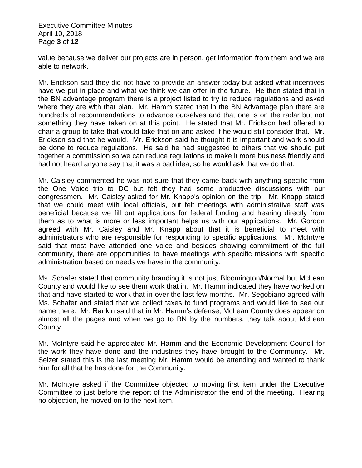Executive Committee Minutes April 10, 2018 Page **3** of **12**

value because we deliver our projects are in person, get information from them and we are able to network.

Mr. Erickson said they did not have to provide an answer today but asked what incentives have we put in place and what we think we can offer in the future. He then stated that in the BN advantage program there is a project listed to try to reduce regulations and asked where they are with that plan. Mr. Hamm stated that in the BN Advantage plan there are hundreds of recommendations to advance ourselves and that one is on the radar but not something they have taken on at this point. He stated that Mr. Erickson had offered to chair a group to take that would take that on and asked if he would still consider that. Mr. Erickson said that he would. Mr. Erickson said he thought it is important and work should be done to reduce regulations. He said he had suggested to others that we should put together a commission so we can reduce regulations to make it more business friendly and had not heard anyone say that it was a bad idea, so he would ask that we do that.

Mr. Caisley commented he was not sure that they came back with anything specific from the One Voice trip to DC but felt they had some productive discussions with our congressmen. Mr. Caisley asked for Mr. Knapp's opinion on the trip. Mr. Knapp stated that we could meet with local officials, but felt meetings with administrative staff was beneficial because we fill out applications for federal funding and hearing directly from them as to what is more or less important helps us with our applications. Mr. Gordon agreed with Mr. Caisley and Mr. Knapp about that it is beneficial to meet with administrators who are responsible for responding to specific applications. Mr. McIntyre said that most have attended one voice and besides showing commitment of the full community, there are opportunities to have meetings with specific missions with specific administration based on needs we have in the community.

Ms. Schafer stated that community branding it is not just Bloomington/Normal but McLean County and would like to see them work that in. Mr. Hamm indicated they have worked on that and have started to work that in over the last few months. Mr. Segobiano agreed with Ms. Schafer and stated that we collect taxes to fund programs and would like to see our name there. Mr. Rankin said that in Mr. Hamm's defense, McLean County does appear on almost all the pages and when we go to BN by the numbers, they talk about McLean County.

Mr. McIntyre said he appreciated Mr. Hamm and the Economic Development Council for the work they have done and the industries they have brought to the Community. Mr. Selzer stated this is the last meeting Mr. Hamm would be attending and wanted to thank him for all that he has done for the Community.

Mr. McIntyre asked if the Committee objected to moving first item under the Executive Committee to just before the report of the Administrator the end of the meeting. Hearing no objection, he moved on to the next item.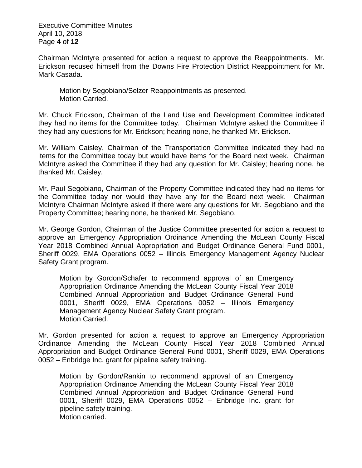Executive Committee Minutes April 10, 2018 Page **4** of **12**

Chairman McIntyre presented for action a request to approve the Reappointments. Mr. Erickson recused himself from the Downs Fire Protection District Reappointment for Mr. Mark Casada.

Motion by Segobiano/Selzer Reappointments as presented. Motion Carried.

Mr. Chuck Erickson, Chairman of the Land Use and Development Committee indicated they had no items for the Committee today. Chairman McIntyre asked the Committee if they had any questions for Mr. Erickson; hearing none, he thanked Mr. Erickson.

Mr. William Caisley, Chairman of the Transportation Committee indicated they had no items for the Committee today but would have items for the Board next week. Chairman McIntyre asked the Committee if they had any question for Mr. Caisley; hearing none, he thanked Mr. Caisley.

Mr. Paul Segobiano, Chairman of the Property Committee indicated they had no items for the Committee today nor would they have any for the Board next week. Chairman McIntyre Chairman McIntyre asked if there were any questions for Mr. Segobiano and the Property Committee; hearing none, he thanked Mr. Segobiano.

Mr. George Gordon, Chairman of the Justice Committee presented for action a request to approve an Emergency Appropriation Ordinance Amending the McLean County Fiscal Year 2018 Combined Annual Appropriation and Budget Ordinance General Fund 0001, Sheriff 0029, EMA Operations 0052 – Illinois Emergency Management Agency Nuclear Safety Grant program.

Motion by Gordon/Schafer to recommend approval of an Emergency Appropriation Ordinance Amending the McLean County Fiscal Year 2018 Combined Annual Appropriation and Budget Ordinance General Fund 0001, Sheriff 0029, EMA Operations 0052 – Illinois Emergency Management Agency Nuclear Safety Grant program. Motion Carried.

Mr. Gordon presented for action a request to approve an Emergency Appropriation Ordinance Amending the McLean County Fiscal Year 2018 Combined Annual Appropriation and Budget Ordinance General Fund 0001, Sheriff 0029, EMA Operations 0052 – Enbridge Inc. grant for pipeline safety training.

Motion by Gordon/Rankin to recommend approval of an Emergency Appropriation Ordinance Amending the McLean County Fiscal Year 2018 Combined Annual Appropriation and Budget Ordinance General Fund 0001, Sheriff 0029, EMA Operations 0052 – Enbridge Inc. grant for pipeline safety training. Motion carried.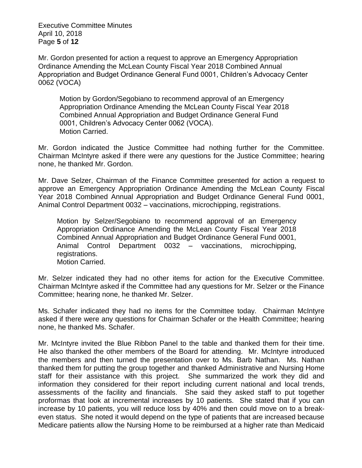Executive Committee Minutes April 10, 2018 Page **5** of **12**

Mr. Gordon presented for action a request to approve an Emergency Appropriation Ordinance Amending the McLean County Fiscal Year 2018 Combined Annual Appropriation and Budget Ordinance General Fund 0001, Children's Advocacy Center 0062 (VOCA)

Motion by Gordon/Segobiano to recommend approval of an Emergency Appropriation Ordinance Amending the McLean County Fiscal Year 2018 Combined Annual Appropriation and Budget Ordinance General Fund 0001, Children's Advocacy Center 0062 (VOCA). Motion Carried.

Mr. Gordon indicated the Justice Committee had nothing further for the Committee. Chairman McIntyre asked if there were any questions for the Justice Committee; hearing none, he thanked Mr. Gordon.

Mr. Dave Selzer, Chairman of the Finance Committee presented for action a request to approve an Emergency Appropriation Ordinance Amending the McLean County Fiscal Year 2018 Combined Annual Appropriation and Budget Ordinance General Fund 0001, Animal Control Department 0032 – vaccinations, microchipping, registrations.

Motion by Selzer/Segobiano to recommend approval of an Emergency Appropriation Ordinance Amending the McLean County Fiscal Year 2018 Combined Annual Appropriation and Budget Ordinance General Fund 0001, Animal Control Department 0032 – vaccinations, microchipping, registrations. Motion Carried.

Mr. Selzer indicated they had no other items for action for the Executive Committee. Chairman McIntyre asked if the Committee had any questions for Mr. Selzer or the Finance Committee; hearing none, he thanked Mr. Selzer.

Ms. Schafer indicated they had no items for the Committee today. Chairman McIntyre asked if there were any questions for Chairman Schafer or the Health Committee; hearing none, he thanked Ms. Schafer.

Mr. McIntyre invited the Blue Ribbon Panel to the table and thanked them for their time. He also thanked the other members of the Board for attending. Mr. McIntyre introduced the members and then turned the presentation over to Ms. Barb Nathan. Ms. Nathan thanked them for putting the group together and thanked Administrative and Nursing Home staff for their assistance with this project. She summarized the work they did and information they considered for their report including current national and local trends, assessments of the facility and financials. She said they asked staff to put together proformas that look at incremental increases by 10 patients. She stated that if you can increase by 10 patients, you will reduce loss by 40% and then could move on to a breakeven status. She noted it would depend on the type of patients that are increased because Medicare patients allow the Nursing Home to be reimbursed at a higher rate than Medicaid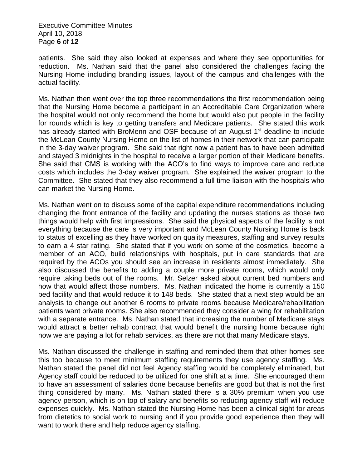Executive Committee Minutes April 10, 2018 Page **6** of **12**

patients. She said they also looked at expenses and where they see opportunities for reduction. Ms. Nathan said that the panel also considered the challenges facing the Nursing Home including branding issues, layout of the campus and challenges with the actual facility.

Ms. Nathan then went over the top three recommendations the first recommendation being that the Nursing Home become a participant in an Accreditable Care Organization where the hospital would not only recommend the home but would also put people in the facility for rounds which is key to getting transfers and Medicare patients. She stated this work has already started with BroMenn and OSF because of an August 1<sup>st</sup> deadline to include the McLean County Nursing Home on the list of homes in their network that can participate in the 3-day waiver program. She said that right now a patient has to have been admitted and stayed 3 midnights in the hospital to receive a larger portion of their Medicare benefits. She said that CMS is working with the ACO's to find ways to improve care and reduce costs which includes the 3-day waiver program. She explained the waiver program to the Committee. She stated that they also recommend a full time liaison with the hospitals who can market the Nursing Home.

Ms. Nathan went on to discuss some of the capital expenditure recommendations including changing the front entrance of the facility and updating the nurses stations as those two things would help with first impressions. She said the physical aspects of the facility is not everything because the care is very important and McLean County Nursing Home is back to status of excelling as they have worked on quality measures, staffing and survey results to earn a 4 star rating. She stated that if you work on some of the cosmetics, become a member of an ACO, build relationships with hospitals, put in care standards that are required by the ACOs you should see an increase in residents almost immediately. She also discussed the benefits to adding a couple more private rooms, which would only require taking beds out of the rooms. Mr. Selzer asked about current bed numbers and how that would affect those numbers. Ms. Nathan indicated the home is currently a 150 bed facility and that would reduce it to 148 beds. She stated that a next step would be an analysis to change out another 6 rooms to private rooms because Medicare/rehabilitation patients want private rooms. She also recommended they consider a wing for rehabilitation with a separate entrance. Ms. Nathan stated that increasing the number of Medicare stays would attract a better rehab contract that would benefit the nursing home because right now we are paying a lot for rehab services, as there are not that many Medicare stays.

Ms. Nathan discussed the challenge in staffing and reminded them that other homes see this too because to meet minimum staffing requirements they use agency staffing. Ms. Nathan stated the panel did not feel Agency staffing would be completely eliminated, but Agency staff could be reduced to be utilized for one shift at a time. She encouraged them to have an assessment of salaries done because benefits are good but that is not the first thing considered by many. Ms. Nathan stated there is a 30% premium when you use agency person, which is on top of salary and benefits so reducing agency staff will reduce expenses quickly. Ms. Nathan stated the Nursing Home has been a clinical sight for areas from dietetics to social work to nursing and if you provide good experience then they will want to work there and help reduce agency staffing.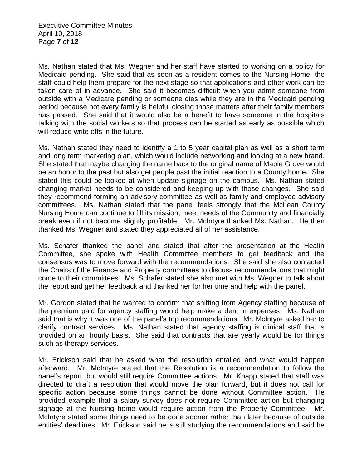Executive Committee Minutes April 10, 2018 Page **7** of **12**

Ms. Nathan stated that Ms. Wegner and her staff have started to working on a policy for Medicaid pending. She said that as soon as a resident comes to the Nursing Home, the staff could help them prepare for the next stage so that applications and other work can be taken care of in advance. She said it becomes difficult when you admit someone from outside with a Medicare pending or someone dies while they are in the Medicaid pending period because not every family is helpful closing those matters after their family members has passed. She said that it would also be a benefit to have someone in the hospitals talking with the social workers so that process can be started as early as possible which will reduce write offs in the future.

Ms. Nathan stated they need to identify a 1 to 5 year capital plan as well as a short term and long term marketing plan, which would include networking and looking at a new brand. She stated that maybe changing the name back to the original name of Maple Grove would be an honor to the past but also get people past the initial reaction to a County home. She stated this could be looked at when update signage on the campus. Ms. Nathan stated changing market needs to be considered and keeping up with those changes. She said they recommend forming an advisory committee as well as family and employee advisory committees. Ms. Nathan stated that the panel feels strongly that the McLean County Nursing Home can continue to fill its mission, meet needs of the Community and financially break even if not become slightly profitable. Mr. McIntyre thanked Ms. Nathan. He then thanked Ms. Wegner and stated they appreciated all of her assistance.

Ms. Schafer thanked the panel and stated that after the presentation at the Health Committee, she spoke with Health Committee members to get feedback and the consensus was to move forward with the recommendations. She said she also contacted the Chairs of the Finance and Property committees to discuss recommendations that might come to their committees. Ms. Schafer stated she also met with Ms. Wegner to talk about the report and get her feedback and thanked her for her time and help with the panel.

Mr. Gordon stated that he wanted to confirm that shifting from Agency staffing because of the premium paid for agency staffing would help make a dent in expenses. Ms. Nathan said that is why it was one of the panel's top recommendations. Mr. McIntyre asked her to clarify contract services. Ms. Nathan stated that agency staffing is clinical staff that is provided on an hourly basis. She said that contracts that are yearly would be for things such as therapy services.

Mr. Erickson said that he asked what the resolution entailed and what would happen afterward. Mr. McIntyre stated that the Resolution is a recommendation to follow the panel's report, but would still require Committee actions. Mr. Knapp stated that staff was directed to draft a resolution that would move the plan forward, but it does not call for specific action because some things cannot be done without Committee action. He provided example that a salary survey does not require Committee action but changing signage at the Nursing home would require action from the Property Committee. Mr. McIntyre stated some things need to be done sooner rather than later because of outside entities' deadlines. Mr. Erickson said he is still studying the recommendations and said he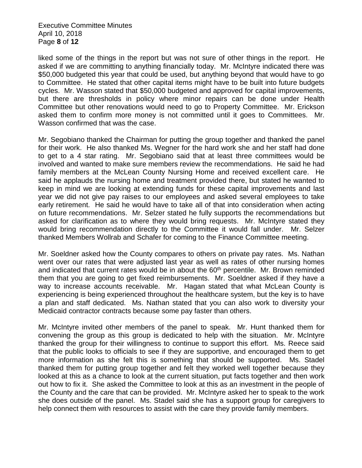Executive Committee Minutes April 10, 2018 Page **8** of **12**

liked some of the things in the report but was not sure of other things in the report. He asked if we are committing to anything financially today. Mr. McIntyre indicated there was \$50,000 budgeted this year that could be used, but anything beyond that would have to go to Committee. He stated that other capital items might have to be built into future budgets cycles. Mr. Wasson stated that \$50,000 budgeted and approved for capital improvements, but there are thresholds in policy where minor repairs can be done under Health Committee but other renovations would need to go to Property Committee. Mr. Erickson asked them to confirm more money is not committed until it goes to Committees. Mr. Wasson confirmed that was the case.

Mr. Segobiano thanked the Chairman for putting the group together and thanked the panel for their work. He also thanked Ms. Wegner for the hard work she and her staff had done to get to a 4 star rating. Mr. Segobiano said that at least three committees would be involved and wanted to make sure members review the recommendations. He said he had family members at the McLean County Nursing Home and received excellent care. He said he applauds the nursing home and treatment provided there, but stated he wanted to keep in mind we are looking at extending funds for these capital improvements and last year we did not give pay raises to our employees and asked several employees to take early retirement. He said he would have to take all of that into consideration when acting on future recommendations. Mr. Selzer stated he fully supports the recommendations but asked for clarification as to where they would bring requests. Mr. McIntyre stated they would bring recommendation directly to the Committee it would fall under. Mr. Selzer thanked Members Wollrab and Schafer for coming to the Finance Committee meeting.

Mr. Soeldner asked how the County compares to others on private pay rates. Ms. Nathan went over our rates that were adjusted last year as well as rates of other nursing homes and indicated that current rates would be in about the  $60<sup>th</sup>$  percentile. Mr. Brown reminded them that you are going to get fixed reimbursements. Mr. Soeldner asked if they have a way to increase accounts receivable. Mr. Hagan stated that what McLean County is experiencing is being experienced throughout the healthcare system, but the key is to have a plan and staff dedicated. Ms. Nathan stated that you can also work to diversity your Medicaid contractor contracts because some pay faster than others.

Mr. McIntyre invited other members of the panel to speak. Mr. Hunt thanked them for convening the group as this group is dedicated to help with the situation. Mr. McIntyre thanked the group for their willingness to continue to support this effort. Ms. Reece said that the public looks to officials to see if they are supportive, and encouraged them to get more information as she felt this is something that should be supported. Ms. Stadel thanked them for putting group together and felt they worked well together because they looked at this as a chance to look at the current situation, put facts together and then work out how to fix it. She asked the Committee to look at this as an investment in the people of the County and the care that can be provided. Mr. McIntyre asked her to speak to the work she does outside of the panel. Ms. Stadel said she has a support group for caregivers to help connect them with resources to assist with the care they provide family members.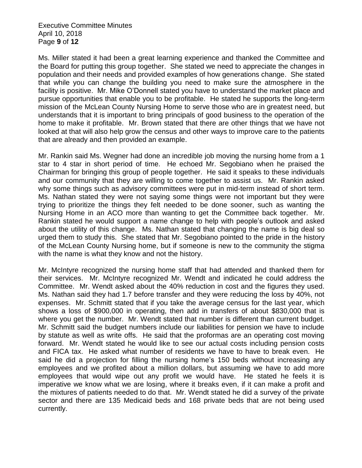Executive Committee Minutes April 10, 2018 Page **9** of **12**

Ms. Miller stated it had been a great learning experience and thanked the Committee and the Board for putting this group together. She stated we need to appreciate the changes in population and their needs and provided examples of how generations change. She stated that while you can change the building you need to make sure the atmosphere in the facility is positive. Mr. Mike O'Donnell stated you have to understand the market place and pursue opportunities that enable you to be profitable. He stated he supports the long-term mission of the McLean County Nursing Home to serve those who are in greatest need, but understands that it is important to bring principals of good business to the operation of the home to make it profitable. Mr. Brown stated that there are other things that we have not looked at that will also help grow the census and other ways to improve care to the patients that are already and then provided an example.

Mr. Rankin said Ms. Wegner had done an incredible job moving the nursing home from a 1 star to 4 star in short period of time. He echoed Mr. Segobiano when he praised the Chairman for bringing this group of people together. He said it speaks to these individuals and our community that they are willing to come together to assist us. Mr. Rankin asked why some things such as advisory committees were put in mid-term instead of short term. Ms. Nathan stated they were not saying some things were not important but they were trying to prioritize the things they felt needed to be done sooner, such as wanting the Nursing Home in an ACO more than wanting to get the Committee back together. Mr. Rankin stated he would support a name change to help with people's outlook and asked about the utility of this change. Ms. Nathan stated that changing the name is big deal so urged them to study this. She stated that Mr. Segobiano pointed to the pride in the history of the McLean County Nursing home, but if someone is new to the community the stigma with the name is what they know and not the history.

Mr. McIntyre recognized the nursing home staff that had attended and thanked them for their services. Mr. McIntyre recognized Mr. Wendt and indicated he could address the Committee. Mr. Wendt asked about the 40% reduction in cost and the figures they used. Ms. Nathan said they had 1.7 before transfer and they were reducing the loss by 40%, not expenses. Mr. Schmitt stated that if you take the average census for the last year, which shows a loss of \$900,000 in operating, then add in transfers of about \$830,000 that is where you get the number. Mr. Wendt stated that number is different than current budget. Mr. Schmitt said the budget numbers include our liabilities for pension we have to include by statute as well as write offs. He said that the proformas are an operating cost moving forward. Mr. Wendt stated he would like to see our actual costs including pension costs and FICA tax. He asked what number of residents we have to have to break even. He said he did a projection for filling the nursing home's 150 beds without increasing any employees and we profited about a million dollars, but assuming we have to add more employees that would wipe out any profit we would have. He stated he feels it is imperative we know what we are losing, where it breaks even, if it can make a profit and the mixtures of patients needed to do that. Mr. Wendt stated he did a survey of the private sector and there are 135 Medicaid beds and 168 private beds that are not being used currently.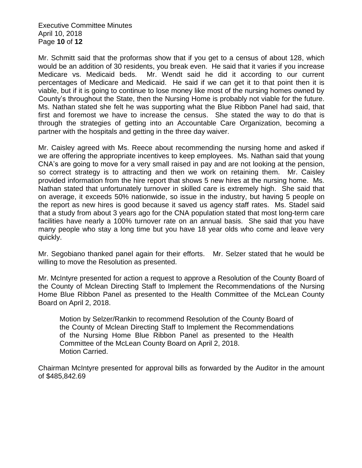Executive Committee Minutes April 10, 2018 Page **10** of **12**

Mr. Schmitt said that the proformas show that if you get to a census of about 128, which would be an addition of 30 residents, you break even. He said that it varies if you increase Medicare vs. Medicaid beds. Mr. Wendt said he did it according to our current percentages of Medicare and Medicaid. He said if we can get it to that point then it is viable, but if it is going to continue to lose money like most of the nursing homes owned by County's throughout the State, then the Nursing Home is probably not viable for the future. Ms. Nathan stated she felt he was supporting what the Blue Ribbon Panel had said, that first and foremost we have to increase the census. She stated the way to do that is through the strategies of getting into an Accountable Care Organization, becoming a partner with the hospitals and getting in the three day waiver.

Mr. Caisley agreed with Ms. Reece about recommending the nursing home and asked if we are offering the appropriate incentives to keep employees. Ms. Nathan said that young CNA's are going to move for a very small raised in pay and are not looking at the pension, so correct strategy is to attracting and then we work on retaining them. Mr. Caisley provided information from the hire report that shows 5 new hires at the nursing home. Ms. Nathan stated that unfortunately turnover in skilled care is extremely high. She said that on average, it exceeds 50% nationwide, so issue in the industry, but having 5 people on the report as new hires is good because it saved us agency staff rates. Ms. Stadel said that a study from about 3 years ago for the CNA population stated that most long-term care facilities have nearly a 100% turnover rate on an annual basis. She said that you have many people who stay a long time but you have 18 year olds who come and leave very quickly.

Mr. Segobiano thanked panel again for their efforts. Mr. Selzer stated that he would be willing to move the Resolution as presented.

Mr. McIntyre presented for action a request to approve a Resolution of the County Board of the County of Mclean Directing Staff to Implement the Recommendations of the Nursing Home Blue Ribbon Panel as presented to the Health Committee of the McLean County Board on April 2, 2018.

Motion by Selzer/Rankin to recommend Resolution of the County Board of the County of Mclean Directing Staff to Implement the Recommendations of the Nursing Home Blue Ribbon Panel as presented to the Health Committee of the McLean County Board on April 2, 2018. Motion Carried.

Chairman McIntyre presented for approval bills as forwarded by the Auditor in the amount of \$485,842.69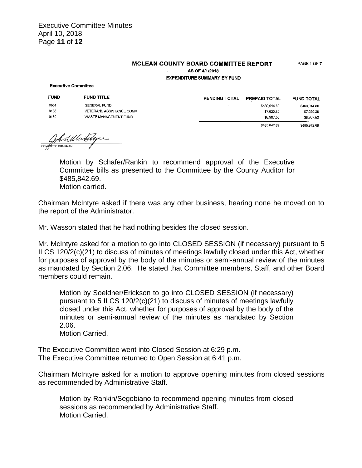Executive Committee Minutes April 10, 2018 Page **11** of **12**

## **MCLEAN COUNTY BOARD COMMITTEE REPORT**

PAGE 1 OF 7

AS OF 4/1/2018 **EXPENDITURE SUMMARY BY FUND** 

## **Executive Committee**

| <b>FUND</b> | <b>FUND TITLE</b>        |
|-------------|--------------------------|
| 0001        | GENERAL FUND             |
| 0136        | VETERANS ASSISTANCE COMM |
| 0159        | WASTE MANAGEMENT FUND    |

| <b>PENDING TOTAL</b> | <b>PREPAID TOTAL</b> | <b>FUND TOTAL</b> |
|----------------------|----------------------|-------------------|
|                      | \$469.014.80         | \$469,014.80      |
|                      | \$7,920.39           | \$7,920.39        |
|                      | \$8,907.50           | \$8,907.50        |
|                      | \$485,842.69         | \$485,842.69      |

Compress al Merchiligne

Motion by Schafer/Rankin to recommend approval of the Executive Committee bills as presented to the Committee by the County Auditor for \$485,842.69. Motion carried.

Chairman McIntyre asked if there was any other business, hearing none he moved on to the report of the Administrator.

Mr. Wasson stated that he had nothing besides the closed session.

Mr. McIntyre asked for a motion to go into CLOSED SESSION (if necessary) pursuant to 5 ILCS 120/2(c)(21) to discuss of minutes of meetings lawfully closed under this Act, whether for purposes of approval by the body of the minutes or semi-annual review of the minutes as mandated by Section 2.06. He stated that Committee members, Staff, and other Board members could remain.

Motion by Soeldner/Erickson to go into CLOSED SESSION (if necessary) pursuant to 5 ILCS 120/2(c)(21) to discuss of minutes of meetings lawfully closed under this Act, whether for purposes of approval by the body of the minutes or semi-annual review of the minutes as mandated by Section 2.06.

Motion Carried.

The Executive Committee went into Closed Session at 6:29 p.m. The Executive Committee returned to Open Session at 6:41 p.m.

Chairman McIntyre asked for a motion to approve opening minutes from closed sessions as recommended by Administrative Staff.

Motion by Rankin/Segobiano to recommend opening minutes from closed sessions as recommended by Administrative Staff. Motion Carried.